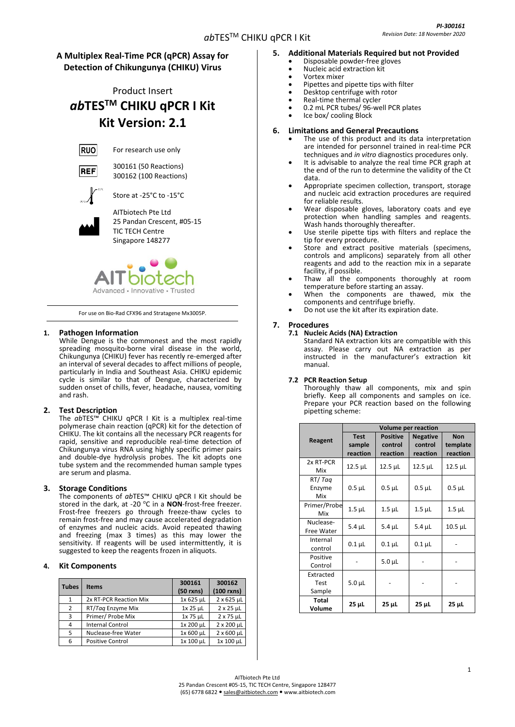# **A Multiplex Real-Time PCR (qPCR) Assay for Detection of Chikungunya (CHIKU) Virus**

# Product Insert *ab***TESTM CHIKU qPCR I Kit Kit Version: 2.1**



For research use only



300161 (50 Reactions) 300162 (100 Reactions)

Store at -25°C to -15°C



AITbiotech Pte Ltd 25 Pandan Crescent, #05-15 TIC TECH Centre

Singapore 148277



For use on Bio-Rad CFX96 and Stratagene Mx3005P.

# **1. Pathogen Information**

While Dengue is the commonest and the most rapidly spreading mosquito-borne viral disease in the world, Chikungunya (CHIKU) fever has recently re-emerged after an interval of several decades to affect millions of people, particularly in India and Southeast Asia. CHIKU epidemic cycle is similar to that of Dengue, characterized by sudden onset of chills, fever, [headache,](http://www.medterms.com/script/main/art.asp?articlekey=20628) nausea, vomiting an[d rash.](http://www.medterms.com/script/main/art.asp?articlekey=1992)

# **2. Test Description**

The *ab*TES™ CHIKU qPCR I Kit is a multiplex real-time polymerase chain reaction (qPCR) kit for the detection of CHIKU. The kit contains all the necessary PCR reagents for rapid, sensitive and reproducible real-time detection of Chikungunya virus RNA using highly specific primer pairs and double-dye hydrolysis probes. The kit adopts one tube system and the recommended human sample types are serum and plasma.

# **3. Storage Conditions**

The components of *ab*TES™ CHIKU qPCR I Kit should be stored in the dark, at -20 °C in a **NON**-frost-free freezer. Frost-free freezers go through freeze-thaw cycles to remain frost-free and may cause accelerated degradation of enzymes and nucleic acids. Avoid repeated thawing and freezing (max 3 times) as this may lower the sensitivity. If reagents will be used intermittently, it is suggested to keep the reagents frozen in aliquots.

# **4. Kit Components**

| <b>Tubes</b> | <b>Items</b>            | 300161<br>$(50$ rxns) | 300162<br>$(100$ rxns) |
|--------------|-------------------------|-----------------------|------------------------|
|              | 2x RT-PCR Reaction Mix  | 1x 625 µL             | $2 \times 625$ µL      |
| 2            | RT/Tag Enzyme Mix       | $1x$ 25 $\mu$ L       | $2 \times 25$ µL       |
| 3            | Primer/ Probe Mix       | 1x 75 µL              | $2 \times 75$ µL       |
| 4            | <b>Internal Control</b> | 1x 200 µL             | $2 \times 200$ µL      |
| 5            | Nuclease-free Water     | 1x 600 µL             | $2 \times 600$ µL      |
| 6            | <b>Positive Control</b> | 1x 100 µL             | 1x 100 µL              |

# **5. Additional Materials Required but not Provided**

- Disposable powder-free gloves
- Nucleic acid extraction kit
- Vortex mixer • Pipettes and pipette tips with filter
- Desktop centrifuge with rotor
- Real-time thermal cycler
- 0.2 mL PCR tubes/ 96-well PCR plates
- Ice box/ cooling Block

## **6. Limitations and General Precautions**

- The use of this product and its data interpretation are intended for personnel trained in real-time PCR techniques and *in vitro* diagnostics procedures only.
- It is advisable to analyze the real time PCR graph at the end of the run to determine the validity of the Ct data.
- Appropriate specimen collection, transport, storage and nucleic acid extraction procedures are required for reliable results.
- Wear disposable gloves, laboratory coats and eye protection when handling samples and reagents. Wash hands thoroughly thereafter.
- Use sterile pipette tips with filters and replace the tip for every procedure.
- Store and extract positive materials (specimens, controls and amplicons) separately from all other reagents and add to the reaction mix in a separate facility, if possible.
- Thaw all the components thoroughly at room temperature before starting an assay.
- When the components are thawed, mix the components and centrifuge briefly.
- Do not use the kit after its expiration date.

# **7. Procedures**

## **7.1 Nucleic Acids (NA) Extraction**

Standard NA extraction kits are compatible with this assay. Please carry out NA extraction as per instructed in the manufacturer's extraction kit manual.

# **7.2 PCR Reaction Setup**

Thoroughly thaw all components, mix and spin briefly. Keep all components and samples on ice. Prepare your PCR reaction based on the following pipetting scheme:

|                             | <b>Volume per reaction</b>        |                                        |                                        |                                    |  |
|-----------------------------|-----------------------------------|----------------------------------------|----------------------------------------|------------------------------------|--|
| Reagent                     | <b>Test</b><br>sample<br>reaction | <b>Positive</b><br>control<br>reaction | <b>Negative</b><br>control<br>reaction | <b>Non</b><br>template<br>reaction |  |
| 2x RT-PCR<br>Mix            | $12.5$ $\mu$ L                    | 12.5 µL                                | $12.5$ $\mu$ L                         | $12.5$ $\mu$ L                     |  |
| RT/Tag<br>Enzyme<br>Mix     | $0.5$ $\mu$ L                     | $0.5$ $\mu$ L                          | $0.5$ $\mu$ L                          | $0.5$ $\mu$ L                      |  |
| Primer/Probe<br>Mix         | $1.5$ $\mu$ L                     | $1.5$ $\mu$ L                          | $1.5$ $\mu$ L                          | $1.5$ $\mu$ L                      |  |
| Nuclease-<br>Free Water     | $5.4$ $\mu$ L                     | $5.4$ $\mu$ L                          | $5.4$ $\mu$ L                          | $10.5$ $\mu$ L                     |  |
| Internal<br>control         | $0.1 \mu L$                       | $0.1 \mu L$                            | $0.1$ $\mu$ L                          |                                    |  |
| Positive<br>Control         |                                   | $5.0 \mu L$                            |                                        |                                    |  |
| Extracted<br>Test<br>Sample | $5.0 \mu L$                       |                                        |                                        |                                    |  |
| Total<br>Volume             | $25 \mu L$                        | 25 µL                                  | $25 \mu L$                             | $25 \mu L$                         |  |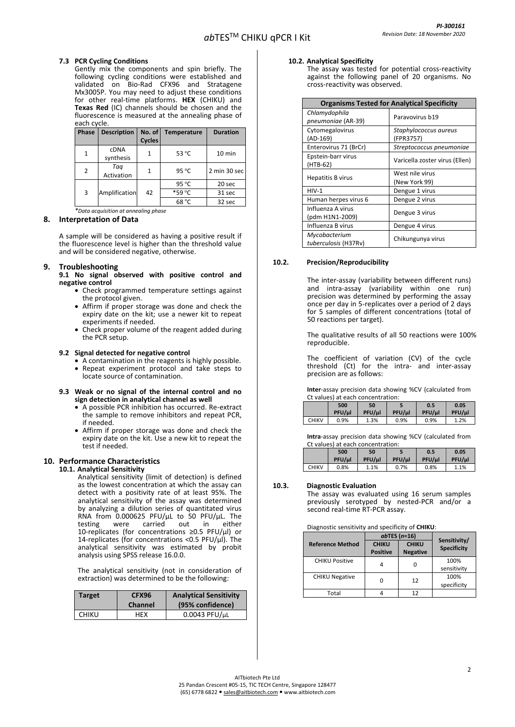## **7.3 PCR Cycling Conditions**

Gently mix the components and spin briefly. The following cycling conditions were established and validated on Bio-Rad CFX96 and Stratagene Mx3005P. You may need to adjust these conditions for other real-time platforms. **HEX** (CHIKU) and **Texas Red** (IC) channels should be chosen and the fluorescence is measured at the annealing phase of each cycle.

| Phase | <b>Description</b>       | No. of<br><b>Cycles</b> | <b>Temperature</b> | <b>Duration</b> |
|-------|--------------------------|-------------------------|--------------------|-----------------|
| 1     | <b>cDNA</b><br>synthesis |                         | 53 °C              | $10$ min        |
| 2     | Tag<br>Activation        |                         | 95 °C              | 2 min 30 sec    |
|       |                          |                         | 95 °C              | 20 sec          |
| 3     | Amplification            | 42                      | *59 °C             | 31 sec          |
|       |                          |                         | 68 °C              | 32 sec          |

*\*Data acquisition at annealing phase*

#### **8. Interpretation of Data**

A sample will be considered as having a positive result if the fluorescence level is higher than the threshold value and will be considered negative, otherwise.

## **9. Troubleshooting**

**9.1 No signal observed with positive control and negative control**

- Check programmed temperature settings against the protocol given.
- Affirm if proper storage was done and check the expiry date on the kit; use a newer kit to repeat experiments if needed.
- Check proper volume of the reagent added during the PCR setup.

#### **9.2 Signal detected for negative control**

- A contamination in the reagents is highly possible.
- Repeat experiment protocol and take steps to locate source of contamination.

#### **9.3 Weak or no signal of the internal control and no sign detection in analytical channel as well**

- A possible PCR inhibition has occurred. Re-extract the sample to remove inhibitors and repeat PCR, if needed.
- Affirm if proper storage was done and check the expiry date on the kit. Use a new kit to repeat the test if needed.

## **10. Performance Characteristics**

#### **10.1. Analytical Sensitivity**

Analytical sensitivity (limit of detection) is defined as the lowest concentration at which the assay can detect with a positivity rate of at least 95%. The analytical sensitivity of the assay was determined by analyzing a dilution series of quantitated virus RNA from 0.000625 PFU/µL to 50 PFU/µL. The testing were carried out in either testing were carried out in either 10-replicates (for concentrations ≥0.5 PFU/µl) or 14-replicates (for concentrations <0.5 PFU/ $\mu$ l). The analytical sensitivity was estimated by probit analysis using SPSS release 16.0.0.

The analytical sensitivity (not in consideration of extraction) was determined to be the following:

| <b>Target</b> | <b>CFX96</b><br>Channel | <b>Analytical Sensitivity</b><br>(95% confidence) |
|---------------|-------------------------|---------------------------------------------------|
| CHIKU         | HEX                     | 0.0043 PFU/uL                                     |

#### **10.2. Analytical Specificity**

The assay was tested for potential cross-reactivity against the following panel of 20 organisms. No cross-reactivity was observed.

| <b>Organisms Tested for Analytical Specificity</b> |                                    |  |  |
|----------------------------------------------------|------------------------------------|--|--|
| Chlamydophila<br>pneumoniae (AR-39)                | Paravovirus b19                    |  |  |
| Cytomegalovirus<br>(AD-169)                        | Staphylococcus aureus<br>(FPR3757) |  |  |
| Enterovirus 71 (BrCr)                              | Streptococcus pneumoniae           |  |  |
| Epstein-barr virus<br>(HTB-62)                     | Varicella zoster virus (Ellen)     |  |  |
| <b>Hepatitis B virus</b>                           | West nile virus<br>(New York 99)   |  |  |
| $HIV-1$                                            | Dengue 1 virus                     |  |  |
| Human herpes virus 6                               | Dengue 2 virus                     |  |  |
| Influenza A virus<br>(pdm H1N1-2009)               | Dengue 3 virus                     |  |  |
| Influenza B virus                                  | Dengue 4 virus                     |  |  |
| Mycobacterium<br>tuberculosis (H37Rv)              | Chikungunya virus                  |  |  |

## **10.2. Precision/Reproducibility**

The inter-assay (variability between different runs) and intra-assay (variability within one run) precision was determined by performing the assay once per day in 5-replicates over a period of 2 days for 5 samples of different concentrations (total of 50 reactions per target).

The qualitative results of all 50 reactions were 100% reproducible.

The coefficient of variation (CV) of the cycle threshold (Ct) for the intra- and inter-assay precision are as follows:

**Inter**-assay precision data showing %CV (calculated from Ct values) at each concentration:

|              | 500    | 50     |        | 0.5    | 0.05   |
|--------------|--------|--------|--------|--------|--------|
|              | PFU/ul | PFU/µl | PFU/µl | PFU/ul | PFU/µl |
| <b>CHIKV</b> | 0.9%   | 1.3%   | 0.9%   | 0.9%   | 1.2%   |

**Intra**-assay precision data showing %CV (calculated from Ct values) at each concentration:

|              | 500    | 50     |        | 0.5    | 0.05   |
|--------------|--------|--------|--------|--------|--------|
|              | PFU/ul | PFU/ul | PFU/ul | PFU/µl | PFU/ul |
| <b>CHIKV</b> | 0.8%   | 1.1%   | 0.7%   | 0.8%   | 1.1%   |

#### **10.3. Diagnostic Evaluation**

The assay was evaluated using 16 serum samples previously serotyped by nested-PCR and/or a second real-time RT-PCR assay.

Diagnostic sensitivity and specificity of **CHIKU**:

|                         | $ab$ TES (n=16)                 | Sensitivity/                    |                     |
|-------------------------|---------------------------------|---------------------------------|---------------------|
| <b>Reference Method</b> | <b>CHIKU</b><br><b>Positive</b> | <b>CHIKU</b><br><b>Negative</b> | <b>Specificity</b>  |
| <b>CHIKU Positive</b>   |                                 | 0                               | 100%<br>sensitivity |
| <b>CHIKU Negative</b>   |                                 | 12                              | 100%<br>specificity |
| Total                   |                                 | 12                              |                     |